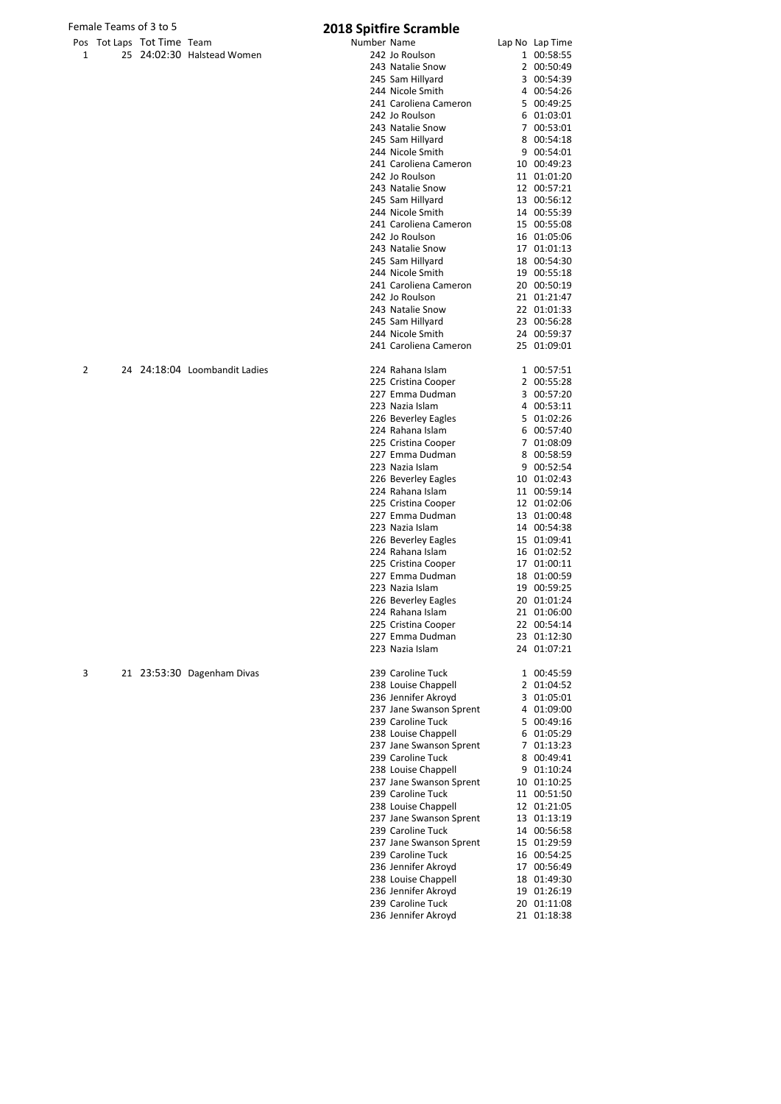| ---- | . <b>.</b> | . <del>.</del> |                            |
|------|------------|----------------|----------------------------|
|      |            |                | 25 24:02:30 Halstead Women |

|   | Female Teams of 3 to 5 |                            |                               |             | <b>2018 Spitfire Scramble</b>                |                            |
|---|------------------------|----------------------------|-------------------------------|-------------|----------------------------------------------|----------------------------|
|   |                        | Pos Tot Laps Tot Time Team |                               | Number Name |                                              | Lap No Lap Time            |
| 1 |                        |                            | 25 24:02:30 Halstead Women    |             | 242 Jo Roulson                               | 1 00:58:55                 |
|   |                        |                            |                               |             | 243 Natalie Snow                             | 2 00:50:49                 |
|   |                        |                            |                               |             | 245 Sam Hillyard                             | 3 00:54:39                 |
|   |                        |                            |                               |             | 244 Nicole Smith                             | 4 00:54:26                 |
|   |                        |                            |                               |             | 241 Caroliena Cameron                        | 5 00:49:25                 |
|   |                        |                            |                               |             | 242 Jo Roulson<br>243 Natalie Snow           | 6 01:03:01<br>7 00:53:01   |
|   |                        |                            |                               |             | 245 Sam Hillyard                             | 8 00:54:18                 |
|   |                        |                            |                               |             | 244 Nicole Smith                             | 9 00:54:01                 |
|   |                        |                            |                               |             | 241 Caroliena Cameron                        | 10 00:49:23                |
|   |                        |                            |                               |             | 242 Jo Roulson                               | 11 01:01:20                |
|   |                        |                            |                               |             | 243 Natalie Snow                             | 12 00:57:21                |
|   |                        |                            |                               |             | 245 Sam Hillyard                             | 13 00:56:12                |
|   |                        |                            |                               |             | 244 Nicole Smith                             | 14 00:55:39                |
|   |                        |                            |                               |             | 241 Caroliena Cameron                        | 15 00:55:08                |
|   |                        |                            |                               |             | 242 Jo Roulson                               | 16 01:05:06                |
|   |                        |                            |                               |             | 243 Natalie Snow                             | 17 01:01:13<br>18 00:54:30 |
|   |                        |                            |                               |             | 245 Sam Hillyard<br>244 Nicole Smith         | 19 00:55:18                |
|   |                        |                            |                               |             | 241 Caroliena Cameron                        | 20 00:50:19                |
|   |                        |                            |                               |             | 242 Jo Roulson                               | 21 01:21:47                |
|   |                        |                            |                               |             | 243 Natalie Snow                             | 22 01:01:33                |
|   |                        |                            |                               |             | 245 Sam Hillyard                             | 23 00:56:28                |
|   |                        |                            |                               |             | 244 Nicole Smith                             | 24 00:59:37                |
|   |                        |                            |                               |             | 241 Caroliena Cameron                        | 25 01:09:01                |
| 2 |                        |                            | 24 24:18:04 Loombandit Ladies |             | 224 Rahana Islam                             | 1 00:57:51                 |
|   |                        |                            |                               |             | 225 Cristina Cooper                          | 2 00:55:28                 |
|   |                        |                            |                               |             | 227 Emma Dudman                              | 3 00:57:20                 |
|   |                        |                            |                               |             | 223 Nazia Islam                              | 4 00:53:11                 |
|   |                        |                            |                               |             | 226 Beverley Eagles                          | 5 01:02:26                 |
|   |                        |                            |                               |             | 224 Rahana Islam                             | 6 00:57:40                 |
|   |                        |                            |                               |             | 225 Cristina Cooper                          | 7 01:08:09                 |
|   |                        |                            |                               |             | 227 Emma Dudman                              | 8 00:58:59                 |
|   |                        |                            |                               |             | 223 Nazia Islam                              | 9 00:52:54                 |
|   |                        |                            |                               |             | 226 Beverley Eagles                          | 10 01:02:43                |
|   |                        |                            |                               |             | 224 Rahana Islam<br>225 Cristina Cooper      | 11 00:59:14<br>12 01:02:06 |
|   |                        |                            |                               |             | 227 Emma Dudman                              | 13 01:00:48                |
|   |                        |                            |                               |             | 223 Nazia Islam                              | 14 00:54:38                |
|   |                        |                            |                               |             | 226 Beverley Eagles                          | 15 01:09:41                |
|   |                        |                            |                               |             | 224 Rahana Islam                             | 16 01:02:52                |
|   |                        |                            |                               |             | 225 Cristina Cooper                          | 17 01:00:11                |
|   |                        |                            |                               |             | 227 Emma Dudman                              | 18 01:00:59                |
|   |                        |                            |                               |             | 223 Nazia Islam                              | 19 00:59:25                |
|   |                        |                            |                               |             | 226 Beverley Eagles                          | 20 01:01:24                |
|   |                        |                            |                               |             | 224 Rahana Islam                             | 21 01:06:00                |
|   |                        |                            |                               |             | 225 Cristina Cooper                          | 22 00:54:14                |
|   |                        |                            |                               |             | 227 Emma Dudman<br>223 Nazia Islam           | 23 01:12:30<br>24 01:07:21 |
| 3 |                        |                            | 21 23:53:30 Dagenham Divas    |             | 239 Caroline Tuck                            | 1 00:45:59                 |
|   |                        |                            |                               |             | 238 Louise Chappell                          | 2 01:04:52                 |
|   |                        |                            |                               |             | 236 Jennifer Akroyd                          | 3 01:05:01                 |
|   |                        |                            |                               |             | 237 Jane Swanson Sprent                      | 4 01:09:00                 |
|   |                        |                            |                               |             | 239 Caroline Tuck                            | 5 00:49:16                 |
|   |                        |                            |                               |             | 238 Louise Chappell                          | 6 01:05:29                 |
|   |                        |                            |                               |             | 237 Jane Swanson Sprent                      | 7 01:13:23                 |
|   |                        |                            |                               |             | 239 Caroline Tuck                            | 8 00:49:41                 |
|   |                        |                            |                               |             | 238 Louise Chappell                          | 9 01:10:24                 |
|   |                        |                            |                               |             | 237 Jane Swanson Sprent<br>239 Caroline Tuck | 10 01:10:25<br>11 00:51:50 |
|   |                        |                            |                               |             | 238 Louise Chappell                          | 12 01:21:05                |
|   |                        |                            |                               |             | 237 Jane Swanson Sprent                      | 13 01:13:19                |
|   |                        |                            |                               |             | 239 Caroline Tuck                            | 14 00:56:58                |
|   |                        |                            |                               |             | 237 Jane Swanson Sprent                      | 15 01:29:59                |
|   |                        |                            |                               |             | 239 Caroline Tuck                            | 16 00:54:25                |
|   |                        |                            |                               |             | 236 Jennifer Akroyd                          | 17 00:56:49                |
|   |                        |                            |                               |             | 238 Louise Chappell                          | 18 01:49:30                |
|   |                        |                            |                               |             | 236 Jennifer Akroyd                          | 19 01:26:19                |
|   |                        |                            |                               |             | 239 Caroline Tuck                            | 20 01:11:08                |
|   |                        |                            |                               |             | 236 Jennifer Akroyd                          | 21 01:18:38                |